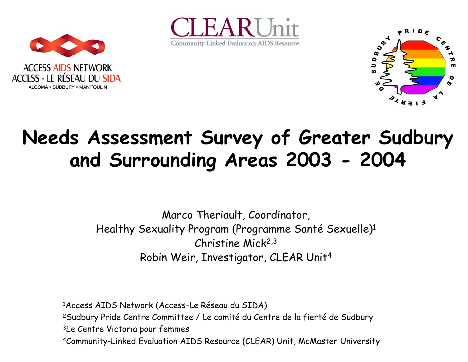





## **Needs Assessment Survey of Greater Sudbury and Surrounding Areas 2003 - 2004**

Marco Theriault, Coordinator, Healthy Sexuality Program (Programme Santé Sexuelle)1 Christine Mick2,3 Robin Weir, Investigator, CLEAR Unit 4

1Access AIDS Network (Access-Le Réseau du SIDA) 2Sudbury Pride Centre Committee / Le comité du Centre de la fierté de Sudbury 3Le Centre Victoria pour femmes 4Community-Linked Evaluation AIDS Resource (CLEAR) Unit, McMaster University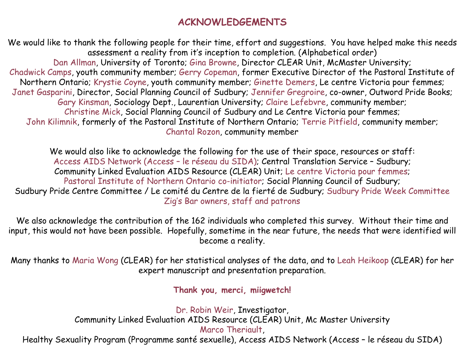#### **ACKNOWLEDGEMENTS**

We would like to thank the following people for their time, effort and suggestions. You have helped make this needs assessment a reality from it's inception to completion. (Alphabetical order) Dan Allman, University of Toronto; Gina Browne, Director CLEAR Unit, McMaster University; Chadwick Camps, youth community member; Gerry Copeman, former Executive Director of the Pastoral Institute of Northern Ontario; Krystie Coyne, youth community member; Ginette Demers, Le centre Victoria pour femmes; Janet Gasparini, Director, Social Planning Council of Sudbury; Jennifer Gregroire, co-owner, Outword Pride Books; Gary Kinsman, Sociology Dept., Laurentian University; Claire Lefebvre, community member; Christine Mick, Social Planning Council of Sudbury and Le Centre Victoria pour femmes; John Kilimnik, formerly of the Pastoral Institute of Northern Ontario; Terrie Pitfield, community member; Chantal Rozon, community member

We would also like to acknowledge the following for the use of their space, resources or staff: Access AIDS Network (Access – le réseau du SIDA); Central Translation Service – Sudbury; Community Linked Evaluation AIDS Resource (CLEAR) Unit; Le centre Victoria pour femmes; Pastoral Institute of Northern Ontario co-initiator; Social Planning Council of Sudbury; Sudbury Pride Centre Committee / Le comité du Centre de la fierté de Sudbury; Sudbury Pride Week Committee Zig's Bar owners, staff and patrons

We also acknowledge the contribution of the 162 individuals who completed this survey. Without their time and input, this would not have been possible. Hopefully, sometime in the near future, the needs that were identified will become a reality.

Many thanks to Maria Wong (CLEAR) for her statistical analyses of the data, and to Leah Heikoop (CLEAR) for her expert manuscript and presentation preparation.

**Thank you, merci, miigwetch!**

Dr. Robin Weir, Investigator, Community Linked Evaluation AIDS Resource (CLEAR) Unit, Mc Master University Marco Theriault,

Healthy Sexuality Program (Programme santé sexuelle), Access AIDS Network (Access – le réseau du SIDA)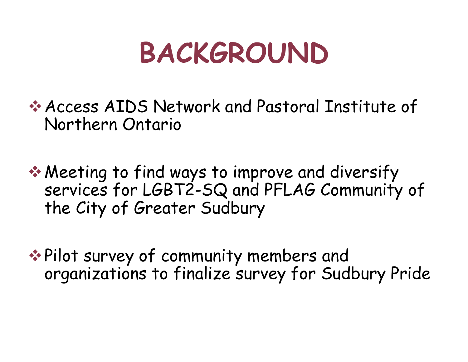## **BACKGROUND**

Access AIDS Network and Pastoral Institute of Northern Ontario

**★ Meeting to find ways to improve and diversify** services for LGBT2-SQ and PFLAG Community of the City of Greater Sudbury

**◆ Pilot survey of community members and** organizations to finalize survey for Sudbury Pride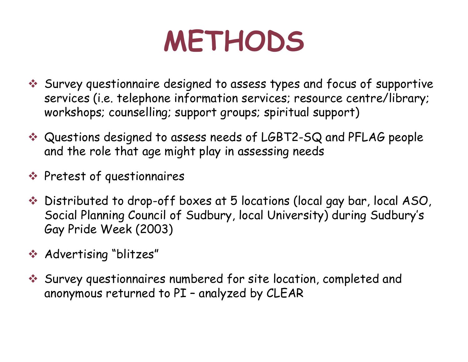## **METHODS**

- Survey questionnaire designed to assess types and focus of supportive services (i.e. telephone information services; resource centre/library; workshops; counselling; support groups; spiritual support)
- Questions designed to assess needs of LGBT2-SQ and PFLAG people and the role that age might play in assessing needs
- **◆ Pretest of questionnaires**
- Distributed to drop-off boxes at 5 locations (local gay bar, local ASO, Social Planning Council of Sudbury, local University) during Sudbury's Gay Pride Week (2003)
- Advertising "blitzes"
- Survey questionnaires numbered for site location, completed and anonymous returned to PI – analyzed by CLEAR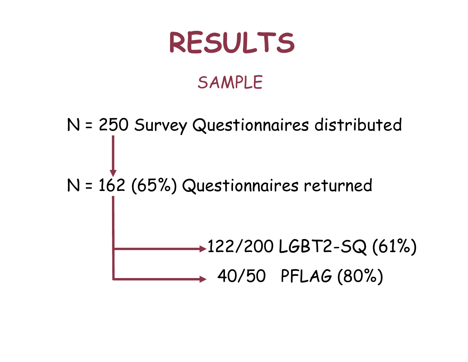## **RESULTS**

### SAMPLE

N = 250 Survey Questionnaires distributed N = 162 (65%) Questionnaires returned 122/200 LGBT2-SQ (61%)  $+ 40/50$  PFLAG  $(80\%)$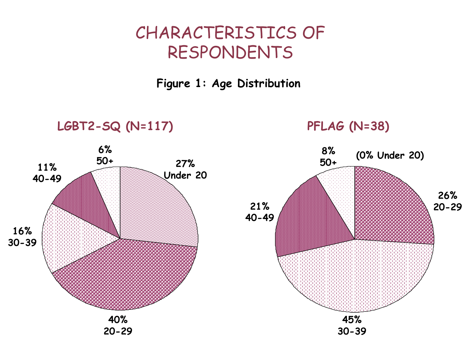**Figure 1: Age Distribution**

#### **LGBT2-SQ (N=117) PFLAG (N=38)**

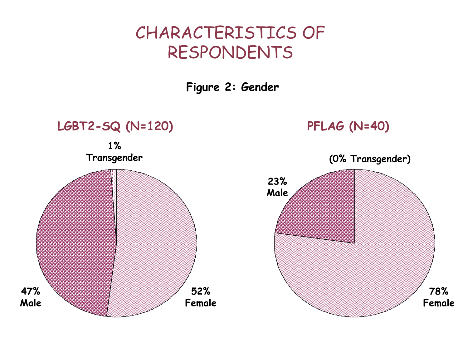**Figure 2: Gender**

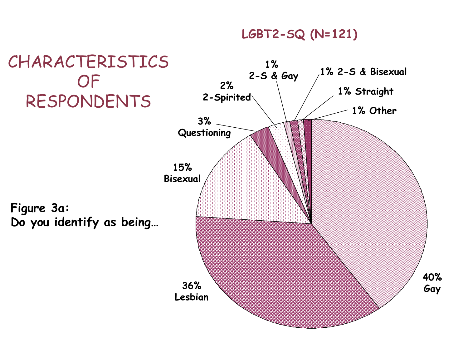#### **LGBT2-SQ (N=121)**

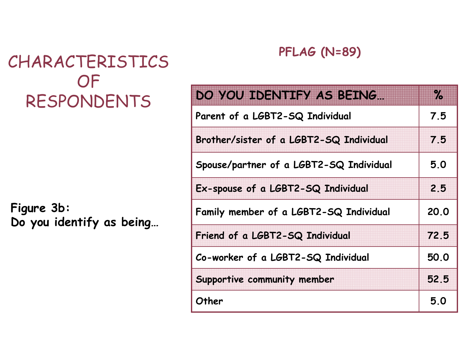**Figure 3b: Do you identify as being…**

#### **PFLAG (N=89)**

| DO YOU IDENTIFY AS BEING                | $\%$ |
|-----------------------------------------|------|
| Parent of a LGBT2-SQ Individual         | 7.5  |
| Brother/sister of a LGBT2-SQ Individual | 7.5  |
| Spouse/partner of a LGBT2-SQ Individual | 5.0  |
| Ex-spouse of a LGBT2-SQ Individual      | 2.5  |
| Family member of a LGBT2-SQ Individual  | 20.0 |
| Friend of a LGBT2-SQ Individual         | 72.5 |
| Co-worker of a LGBT2-SQ Individual      | 50.0 |
| Supportive community member             | 52.5 |
| Other                                   | 5.0  |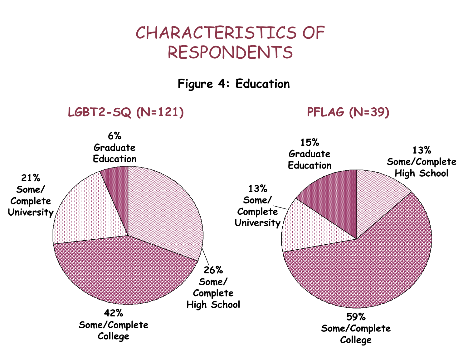**Figure 4: Education**

**LGBT2-SQ (N=121) PFLAG (N=39)**

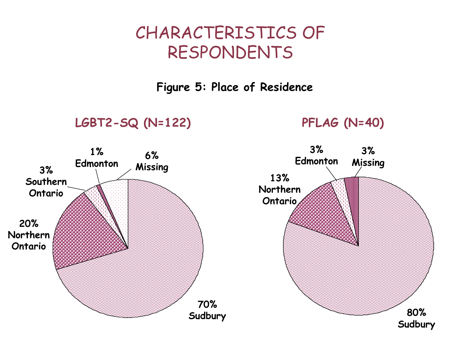**Figure 5: Place of Residence**

**LGBT2-SQ (N=122) PFLAG (N=40)**

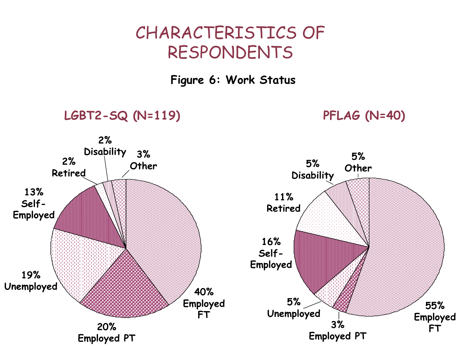#### **Figure 6: Work Status**

#### **LGBT2-SQ (N=119) PFLAG (N=40)**



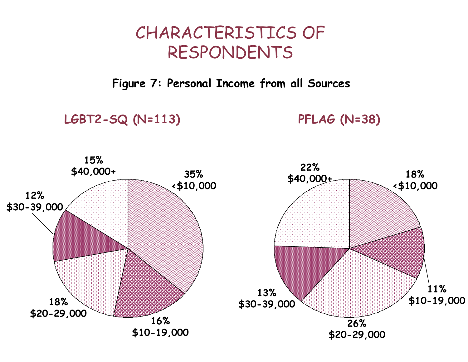**Figure 7: Personal Income from all Sources**

**LGBT2-SQ (N=113) PFLAG (N=38)**

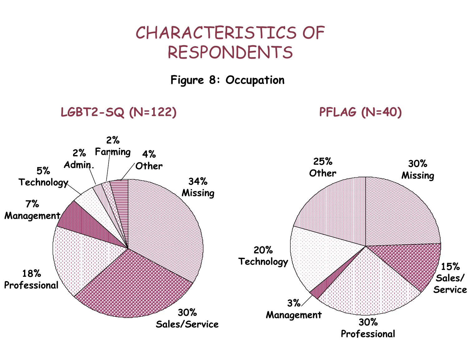#### **Figure 8: Occupation**

#### **LGBT2-SQ (N=122) PFLAG (N=40)**

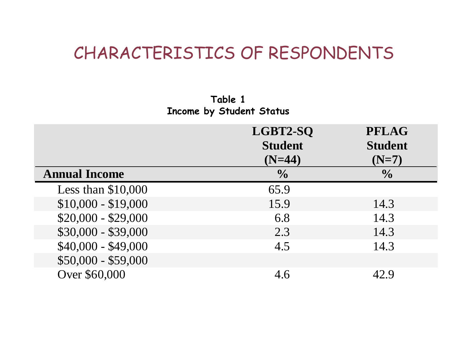**Table 1 Income by Student Status**

|                      | LGBT2-SQ<br><b>Student</b><br>$(N=44)$ | <b>PFLAG</b><br><b>Student</b><br>$(N=7)$ |
|----------------------|----------------------------------------|-------------------------------------------|
| <b>Annual Income</b> | $\frac{0}{0}$                          | $\frac{0}{0}$                             |
| Less than $$10,000$  | 65.9                                   |                                           |
| $$10,000 - $19,000$  | 15.9                                   | 14.3                                      |
| $$20,000 - $29,000$  | 6.8                                    | 14.3                                      |
| $$30,000 - $39,000$  | 2.3                                    | 14.3                                      |
| $$40,000 - $49,000$  | 4.5                                    | 14.3                                      |
| $$50,000 - $59,000$  |                                        |                                           |
| Over \$60,000        | 4.6                                    | 42.9                                      |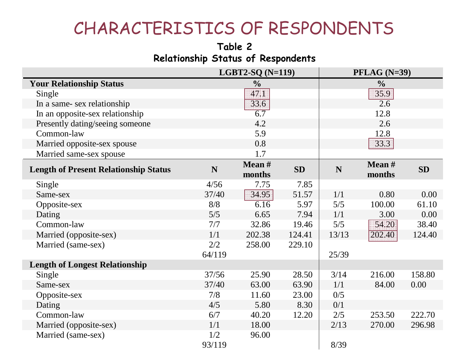#### **Table 2 Relationship Status of Respondents**

|                                              | LGBT2-SQ $(N=119)$ |                  | $PFLAG (N=39)$ |       |                    |           |
|----------------------------------------------|--------------------|------------------|----------------|-------|--------------------|-----------|
| <b>Your Relationship Status</b>              |                    | $\frac{0}{0}$    |                |       | $\frac{6}{10}$     |           |
| Single                                       |                    | 47.1             |                |       | 35.9               |           |
| In a same-sex relationship                   |                    | 33.6             |                |       | 2.6                |           |
| In an opposite-sex relationship              |                    | $\overline{6.7}$ |                |       | 12.8               |           |
| Presently dating/seeing someone              |                    | 4.2              |                |       | 2.6                |           |
| Common-law                                   |                    | 5.9              |                |       | 12.8               |           |
| Married opposite-sex spouse                  |                    | 0.8              |                |       | 33.3               |           |
| Married same-sex spouse                      |                    | 1.7              |                |       |                    |           |
| <b>Length of Present Relationship Status</b> | N                  | Mean #<br>months | <b>SD</b>      | N     | Mean $#$<br>months | <b>SD</b> |
| Single                                       | 4/56               | 7.75             | 7.85           |       |                    |           |
| Same-sex                                     | 37/40              | 34.95            | 51.57          | 1/1   | 0.80               | 0.00      |
| Opposite-sex                                 | 8/8                | 6.16             | 5.97           | 5/5   | 100.00             | 61.10     |
| Dating                                       | 5/5                | 6.65             | 7.94           | 1/1   | 3.00               | 0.00      |
| Common-law                                   | 7/7                | 32.86            | 19.46          | 5/5   | 54.20              | 38.40     |
| Married (opposite-sex)                       | 1/1                | 202.38           | 124.41         | 13/13 | 202.40             | 124.40    |
| Married (same-sex)                           | 2/2                | 258.00           | 229.10         |       |                    |           |
|                                              | 64/119             |                  |                | 25/39 |                    |           |
| <b>Length of Longest Relationship</b>        |                    |                  |                |       |                    |           |
| Single                                       | 37/56              | 25.90            | 28.50          | 3/14  | 216.00             | 158.80    |
| Same-sex                                     | 37/40              | 63.00            | 63.90          | 1/1   | 84.00              | 0.00      |
| Opposite-sex                                 | 7/8                | 11.60            | 23.00          | 0/5   |                    |           |
| Dating                                       | 4/5                | 5.80             | 8.30           | 0/1   |                    |           |
| Common-law                                   | 6/7                | 40.20            | 12.20          | 2/5   | 253.50             | 222.70    |
| Married (opposite-sex)                       | 1/1                | 18.00            |                | 2/13  | 270.00             | 296.98    |
| Married (same-sex)                           | 1/2<br>93/119      | 96.00            |                | 8/39  |                    |           |
|                                              |                    |                  |                |       |                    |           |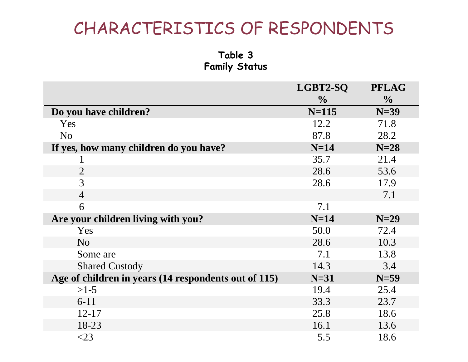**Table 3 Family Status**

|                                                      | LGBT2-SQ      | <b>PFLAG</b>  |
|------------------------------------------------------|---------------|---------------|
|                                                      | $\frac{0}{0}$ | $\frac{0}{0}$ |
| Do you have children?                                | $N=115$       | $N=39$        |
| <b>Yes</b>                                           | 12.2          | 71.8          |
| N <sub>o</sub>                                       | 87.8          | 28.2          |
| If yes, how many children do you have?               | $N=14$        | $N=28$        |
|                                                      | 35.7          | 21.4          |
| $\overline{2}$                                       | 28.6          | 53.6          |
| 3                                                    | 28.6          | 17.9          |
| $\overline{4}$                                       |               | 7.1           |
| 6                                                    | 7.1           |               |
| Are your children living with you?                   | $N=14$        | $N=29$        |
| Yes                                                  | 50.0          | 72.4          |
| N <sub>o</sub>                                       | 28.6          | 10.3          |
| Some are                                             | 7.1           | 13.8          |
| <b>Shared Custody</b>                                | 14.3          | 3.4           |
| Age of children in years (14 respondents out of 115) | $N=31$        | $N=59$        |
| $>1-5$                                               | 19.4          | 25.4          |
| $6-11$                                               | 33.3          | 23.7          |
| $12 - 17$                                            | 25.8          | 18.6          |
| 18-23                                                | 16.1          | 13.6          |
| $<$ 23                                               | 5.5           | 18.6          |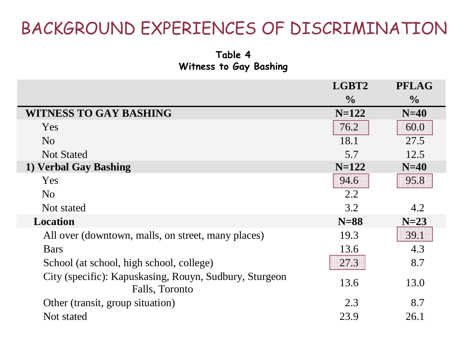**Table 4Witness to Gay Bashing**

|                                                                          | LGBT2         | <b>PFLAG</b>  |
|--------------------------------------------------------------------------|---------------|---------------|
|                                                                          | $\frac{0}{0}$ | $\frac{0}{0}$ |
| <b>WITNESS TO GAY BASHING</b>                                            | $N=122$       | $N=40$        |
| <b>Yes</b>                                                               | 76.2          | 60.0          |
| N <sub>o</sub>                                                           | 18.1          | 27.5          |
| <b>Not Stated</b>                                                        | 5.7           | 12.5          |
| 1) Verbal Gay Bashing                                                    | $N=122$       | $N=40$        |
| Yes                                                                      | 94.6          | 95.8          |
| N <sub>o</sub>                                                           | 2.2           |               |
| Not stated                                                               | 3.2           | 4.2           |
| <b>Location</b>                                                          | $N=88$        | $N=23$        |
| All over (downtown, malls, on street, many places)                       | 19.3          | 39.1          |
| <b>Bars</b>                                                              | 13.6          | 4.3           |
| School (at school, high school, college)                                 | 27.3          | 8.7           |
| City (specific): Kapuskasing, Rouyn, Sudbury, Sturgeon<br>Falls, Toronto | 13.6          | 13.0          |
| Other (transit, group situation)                                         | 2.3           | 8.7           |
| Not stated                                                               | 23.9          | 26.1          |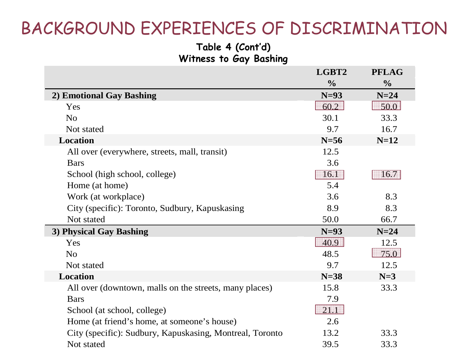#### **Table 4 (Cont'd) Witness to Gay Bashing**

|                                                          | LGBT2         | <b>PFLAG</b>  |
|----------------------------------------------------------|---------------|---------------|
|                                                          | $\frac{0}{0}$ | $\frac{0}{0}$ |
| 2) Emotional Gay Bashing                                 | $N=93$        | $N=24$        |
| Yes                                                      | 60.2          | 50.0          |
| N <sub>o</sub>                                           | 30.1          | 33.3          |
| Not stated                                               | 9.7           | 16.7          |
| Location                                                 | $N=56$        | $N=12$        |
| All over (everywhere, streets, mall, transit)            | 12.5          |               |
| <b>Bars</b>                                              | 3.6           |               |
| School (high school, college)                            | 16.1          | 16.7          |
| Home (at home)                                           | 5.4           |               |
| Work (at workplace)                                      | 3.6           | 8.3           |
| City (specific): Toronto, Sudbury, Kapuskasing           | 8.9           | 8.3           |
| Not stated                                               | 50.0          | 66.7          |
| 3) Physical Gay Bashing                                  | $N=93$        | $N=24$        |
| Yes                                                      | 40.9          | 12.5          |
| N <sub>o</sub>                                           | 48.5          | 75.0          |
| Not stated                                               | 9.7           | 12.5          |
| Location                                                 | $N=38$        | $N=3$         |
| All over (downtown, malls on the streets, many places)   | 15.8          | 33.3          |
| <b>Bars</b>                                              | 7.9           |               |
| School (at school, college)                              | 21.1          |               |
| Home (at friend's home, at someone's house)              | 2.6           |               |
| City (specific): Sudbury, Kapuskasing, Montreal, Toronto | 13.2          | 33.3          |
| Not stated                                               | 39.5          | 33.3          |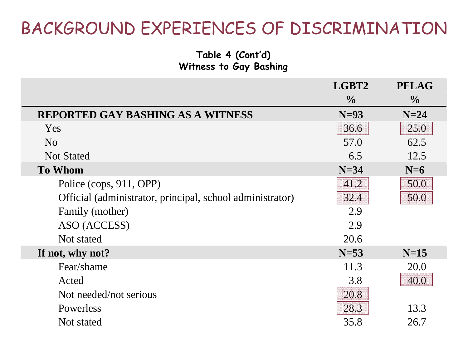#### **Table 4 (Cont'd) Witness to Gay Bashing**

|                                                           | LGBT2         | <b>PFLAG</b>  |
|-----------------------------------------------------------|---------------|---------------|
|                                                           | $\frac{0}{0}$ | $\frac{0}{0}$ |
| <b>REPORTED GAY BASHING AS A WITNESS</b>                  | $N=93$        | $N=24$        |
| Yes                                                       | 36.6          | 25.0          |
| N <sub>o</sub>                                            | 57.0          | 62.5          |
| <b>Not Stated</b>                                         | 6.5           | 12.5          |
| <b>To Whom</b>                                            | $N=34$        | $N=6$         |
| Police (cops, 911, OPP)                                   | 41.2          | 50.0          |
| Official (administrator, principal, school administrator) | 32.4          | 50.0          |
| Family (mother)                                           | 2.9           |               |
| ASO (ACCESS)                                              | 2.9           |               |
| Not stated                                                | 20.6          |               |
| If not, why not?                                          | $N=53$        | $N=15$        |
| Fear/shame                                                | 11.3          | 20.0          |
| Acted                                                     | 3.8           | 40.0          |
| Not needed/not serious                                    | 20.8          |               |
| Powerless                                                 | 28.3          | 13.3          |
| Not stated                                                | 35.8          | 26.7          |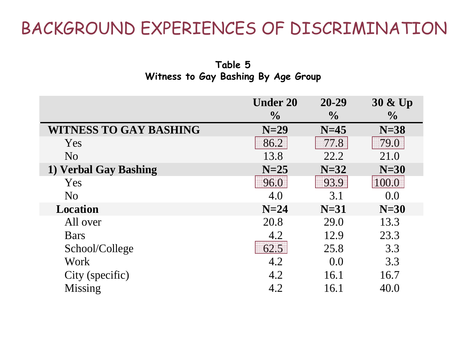**Table 5 Witness to Gay Bashing By Age Group**

|                               | <b>Under 20</b> | $20 - 29$     | $30 \& Up$    |
|-------------------------------|-----------------|---------------|---------------|
|                               | $\frac{0}{0}$   | $\frac{1}{2}$ | $\frac{1}{2}$ |
| <b>WITNESS TO GAY BASHING</b> | $N=29$          | $N=45$        | $N=38$        |
| Yes                           | 86.2            | 77.8          | 79.0          |
| N <sub>o</sub>                | 13.8            | 22.2          | 21.0          |
| 1) Verbal Gay Bashing         | $N=25$          | $N=32$        | $N=30$        |
| Yes                           | 96.0            | 93.9          | 100.0         |
| N <sub>o</sub>                | 4.0             | 3.1           | 0.0           |
| <b>Location</b>               | $N=24$          | $N=31$        | $N=30$        |
| All over                      | 20.8            | 29.0          | 13.3          |
| <b>Bars</b>                   | 4.2             | 12.9          | 23.3          |
| School/College                | 62.5            | 25.8          | 3.3           |
| <b>Work</b>                   | 4.2             | 0.0           | 3.3           |
| City (specific)               | 4.2             | 16.1          | 16.7          |
| Missing                       | 4.2             | 16.1          | 40.0          |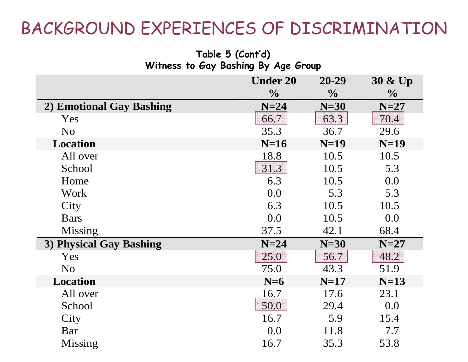**Table 5 (Cont'd)**

| $1$ upic v (vviii u $\overline{1}$<br>Witness to Gay Bashing By Age Group |                 |               |               |
|---------------------------------------------------------------------------|-----------------|---------------|---------------|
|                                                                           | <b>Under 20</b> | 20-29         | 30 & Up       |
|                                                                           | $\frac{0}{0}$   | $\frac{1}{2}$ | $\frac{0}{0}$ |
| 2) Emotional Gay Bashing                                                  | $N=24$          | $N=30$        | $N=27$        |
| Yes                                                                       | 66.7            | 63.3          | 70.4          |
| N <sub>o</sub>                                                            | 35.3            | 36.7          | 29.6          |
| <b>Location</b>                                                           | $N=16$          | $N=19$        | $N=19$        |
| All over                                                                  | 18.8            | 10.5          | 10.5          |
| School                                                                    | 31.3            | 10.5          | 5.3           |
| Home                                                                      | 6.3             | 10.5          | 0.0           |
| Work                                                                      | 0.0             | 5.3           | 5.3           |
| City                                                                      | 6.3             | 10.5          | 10.5          |
| <b>Bars</b>                                                               | 0.0             | 10.5          | 0.0           |
| Missing                                                                   | 37.5            | 42.1          | 68.4          |
| 3) Physical Gay Bashing                                                   | $N=24$          | $N=30$        | $N=27$        |
| Yes                                                                       | 25.0            | 56.7          | 48.2          |
| N <sub>o</sub>                                                            | 75.0            | 43.3          | 51.9          |
| <b>Location</b>                                                           | $N=6$           | $N=17$        | $N=13$        |
| All over                                                                  | <u>16.7</u>     | 17.6          | 23.1          |
| School                                                                    | 50.0            | 29.4          | 0.0           |
| City                                                                      | 16.7            | 5.9           | 15.4          |
| Bar                                                                       | 0.0             | 11.8          | 7.7           |
| <b>Missing</b>                                                            | 16.7            | 35.3          | 53.8          |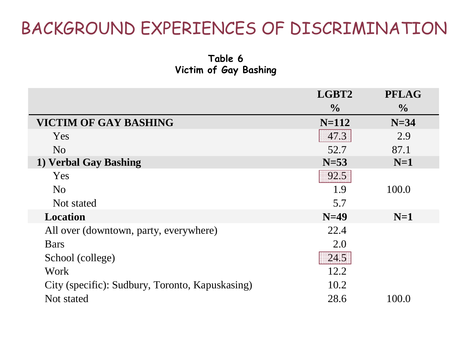**Table 6 Victim of Gay Bashing**

|                                                 | LGBT2         | <b>PFLAG</b>  |
|-------------------------------------------------|---------------|---------------|
|                                                 | $\frac{0}{0}$ | $\frac{0}{0}$ |
| VICTIM OF GAY BASHING                           | $N = 112$     | $N=34$        |
| Yes                                             | 47.3          | 2.9           |
| N <sub>o</sub>                                  | 52.7          | 87.1          |
| 1) Verbal Gay Bashing                           | $N=53$        | $N=1$         |
| Yes                                             | 92.5          |               |
| N <sub>o</sub>                                  | 1.9           | 100.0         |
| Not stated                                      | 5.7           |               |
| <b>Location</b>                                 | $N=49$        | $N=1$         |
| All over (downtown, party, everywhere)          | 22.4          |               |
| <b>Bars</b>                                     | 2.0           |               |
| School (college)                                | 24.5          |               |
| Work                                            | 12.2          |               |
| City (specific): Sudbury, Toronto, Kapuskasing) | 10.2          |               |
| Not stated                                      | 28.6          | 100.0         |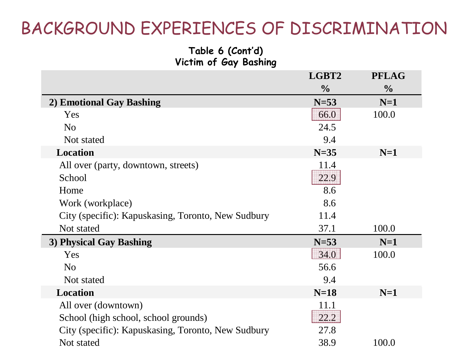#### **Table 6 (Cont'd) Victim of Gay Bashing**

|                                                    | LGBT2         | <b>PFLAG</b>  |
|----------------------------------------------------|---------------|---------------|
|                                                    | $\frac{0}{0}$ | $\frac{0}{0}$ |
| 2) Emotional Gay Bashing                           | $N=53$        | $N=1$         |
| Yes                                                | 66.0          | 100.0         |
| N <sub>o</sub>                                     | 24.5          |               |
| Not stated                                         | 9.4           |               |
| Location                                           | $N=35$        | $N=1$         |
| All over (party, downtown, streets)                | 11.4          |               |
| School                                             | 22.9          |               |
| Home                                               | 8.6           |               |
| Work (workplace)                                   | 8.6           |               |
| City (specific): Kapuskasing, Toronto, New Sudbury | 11.4          |               |
| Not stated                                         | 37.1          | 100.0         |
| 3) Physical Gay Bashing                            | $N=53$        | $N=1$         |
| Yes                                                | 34.0          | 100.0         |
| N <sub>o</sub>                                     | 56.6          |               |
| Not stated                                         | 9.4           |               |
| <b>Location</b>                                    | $N=18$        | $N=1$         |
| All over (downtown)                                | 11.1          |               |
| School (high school, school grounds)               | 22.2          |               |
| City (specific): Kapuskasing, Toronto, New Sudbury | 27.8          |               |
| Not stated                                         | 38.9          | 100.0         |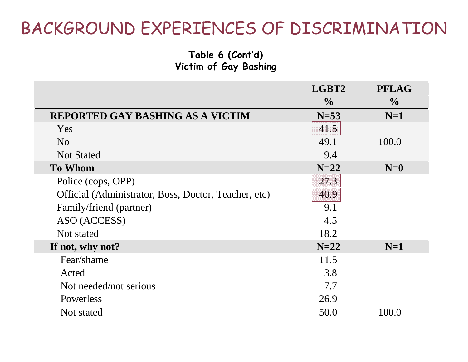#### **Table 6 (Cont'd) Victim of Gay Bashing**

|                                                      | LGBT2         | <b>PFLAG</b>  |
|------------------------------------------------------|---------------|---------------|
|                                                      | $\frac{0}{0}$ | $\frac{0}{0}$ |
| <b>REPORTED GAY BASHING AS A VICTIM</b>              | $N=53$        | $N=1$         |
| Yes                                                  | 41.5          |               |
| N <sub>0</sub>                                       | 49.1          | 100.0         |
| <b>Not Stated</b>                                    | 9.4           |               |
| <b>To Whom</b>                                       | $N=22$        | $N=0$         |
| Police (cops, OPP)                                   | 27.3          |               |
| Official (Administrator, Boss, Doctor, Teacher, etc) | 40.9          |               |
| Family/friend (partner)                              | 9.1           |               |
| ASO (ACCESS)                                         | 4.5           |               |
| Not stated                                           | 18.2          |               |
| If not, why not?                                     | $N=22$        | $N=1$         |
| Fear/shame                                           | 11.5          |               |
| Acted                                                | 3.8           |               |
| Not needed/not serious                               | 7.7           |               |
| Powerless                                            | 26.9          |               |
| Not stated                                           | 50.0          | 100.0         |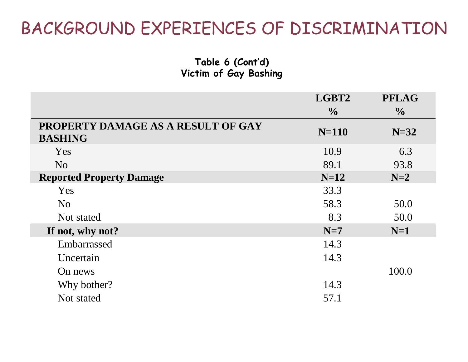**Table 6 (Cont'd) Victim of Gay Bashing**

|                                                      | LGBT2         | <b>PFLAG</b>  |
|------------------------------------------------------|---------------|---------------|
|                                                      | $\frac{0}{0}$ | $\frac{6}{9}$ |
| PROPERTY DAMAGE AS A RESULT OF GAY<br><b>BASHING</b> | $N=110$       | $N=32$        |
| Yes                                                  | 10.9          | 6.3           |
| N <sub>o</sub>                                       | 89.1          | 93.8          |
| <b>Reported Property Damage</b>                      | $N=12$        | $N=2$         |
| Yes                                                  | 33.3          |               |
| N <sub>o</sub>                                       | 58.3          | 50.0          |
| Not stated                                           | 8.3           | 50.0          |
| If not, why not?                                     | $N=7$         | $N=1$         |
| Embarrassed                                          | 14.3          |               |
| Uncertain                                            | 14.3          |               |
| On news                                              |               | 100.0         |
| Why bother?                                          | 14.3          |               |
| Not stated                                           | 57.1          |               |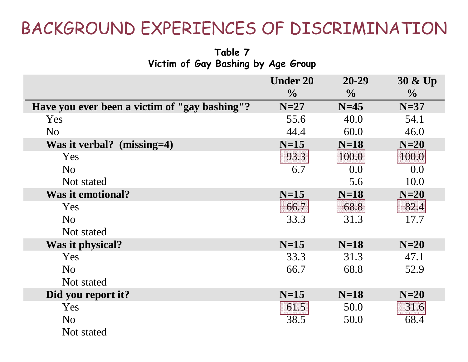**Table 7 Victim of Gay Bashing by Age Group**

|                                               | <b>Under 20</b><br>$\frac{0}{0}$ | 20-29<br>$\frac{1}{2}$ | 30 & Up<br>$\frac{0}{0}$ |
|-----------------------------------------------|----------------------------------|------------------------|--------------------------|
| Have you ever been a victim of "gay bashing"? | $N=27$                           | $N=45$                 | $N=37$                   |
| <b>Yes</b>                                    | 55.6                             | 40.0                   | 54.1                     |
| N <sub>o</sub>                                | 44.4                             | 60.0                   | 46.0                     |
| Was it verbal? $(missing=4)$                  | $N=15$                           | $N=18$                 | $N=20$                   |
| <b>Yes</b>                                    | 93.3                             | 100.0                  | 100.0                    |
| N <sub>o</sub>                                | 6.7                              | 0.0                    | 0.0                      |
| Not stated                                    |                                  | 5.6                    | 10.0                     |
| <b>Was it emotional?</b>                      | $N=15$                           | $N=18$                 | $N=20$                   |
| <b>Yes</b>                                    | 66.7                             | 68.8                   | 82.4                     |
| N <sub>o</sub>                                | 33.3                             | 31.3                   | 17.7                     |
| Not stated                                    |                                  |                        |                          |
| Was it physical?                              | $N=15$                           | $N=18$                 | $N=20$                   |
| Yes                                           | 33.3                             | 31.3                   | 47.1                     |
| N <sub>o</sub>                                | 66.7                             | 68.8                   | 52.9                     |
| Not stated                                    |                                  |                        |                          |
| Did you report it?                            | $N=15$                           | $N=18$                 | $N=20$                   |
| Yes                                           | 61.5                             | 50.0                   | 31.6                     |
| N <sub>o</sub>                                | 38.5                             | 50.0                   | 68.4                     |
| Not stated                                    |                                  |                        |                          |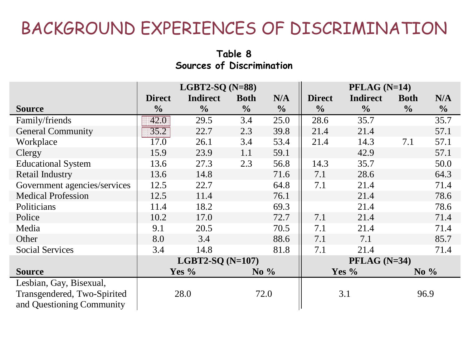#### **Table 8 Sources of Discrimination**

|                              | LGBT2-SQ $(N=88)$ |                    |               | $PFLAG (N=14)$ |                |                 |               |               |
|------------------------------|-------------------|--------------------|---------------|----------------|----------------|-----------------|---------------|---------------|
|                              | <b>Direct</b>     | <b>Indirect</b>    | <b>Both</b>   | N/A            | <b>Direct</b>  | <b>Indirect</b> | <b>Both</b>   | N/A           |
| <b>Source</b>                | $\frac{0}{0}$     | $\frac{0}{0}$      | $\frac{6}{6}$ | $\frac{0}{0}$  | $\frac{0}{0}$  | $\frac{0}{0}$   | $\frac{0}{0}$ | $\frac{0}{0}$ |
| Family/friends               | 42.0              | 29.5               | 3.4           | 25.0           | 28.6           | 35.7            |               | 35.7          |
| <b>General Community</b>     | 35.2              | 22.7               | 2.3           | 39.8           | 21.4           | 21.4            |               | 57.1          |
| Workplace                    | 17.0              | 26.1               | 3.4           | 53.4           | 21.4           | 14.3            | 7.1           | 57.1          |
| Clergy                       | 15.9              | 23.9               | 1.1           | 59.1           |                | 42.9            |               | 57.1          |
| <b>Educational System</b>    | 13.6              | 27.3               | 2.3           | 56.8           | 14.3           | 35.7            |               | 50.0          |
| <b>Retail Industry</b>       | 13.6              | 14.8               |               | 71.6           | 7.1            | 28.6            |               | 64.3          |
| Government agencies/services | 12.5              | 22.7               |               | 64.8           | 7.1            | 21.4            |               | 71.4          |
| <b>Medical Profession</b>    | 12.5              | 11.4               |               | 76.1           |                | 21.4            |               | 78.6          |
| Politicians                  | 11.4              | 18.2               |               | 69.3           |                | 21.4            |               | 78.6          |
| Police                       | 10.2              | 17.0               |               | 72.7           | 7.1            | 21.4            |               | 71.4          |
| Media                        | 9.1               | 20.5               |               | 70.5           | 7.1            | 21.4            |               | 71.4          |
| Other                        | 8.0               | 3.4                |               | 88.6           | 7.1            | 7.1             |               | 85.7          |
| <b>Social Services</b>       | 3.4               | 14.8               |               | 81.8           | 7.1            | 21.4            |               | 71.4          |
|                              |                   | LGBT2-SQ $(N=107)$ |               |                | $PFLAG (N=34)$ |                 |               |               |
| <b>Source</b>                |                   | Yes $%$            | No $\%$       |                |                | Yes $%$         | No $\%$       |               |
| Lesbian, Gay, Bisexual,      |                   |                    |               |                |                |                 |               |               |
| Transgendered, Two-Spirited  |                   | 28.0               | 72.0          |                |                | 3.1             |               | 96.9          |
| and Questioning Community    |                   |                    |               |                |                |                 |               |               |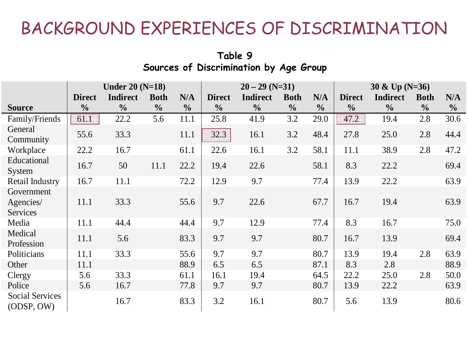|                                      |               | Under $20(N=18)$ |               |               | $20 - 29$ (N=31) |                 |               | $30 & \text{Up}(N=36)$ |               |                 |               |               |
|--------------------------------------|---------------|------------------|---------------|---------------|------------------|-----------------|---------------|------------------------|---------------|-----------------|---------------|---------------|
|                                      | <b>Direct</b> | <b>Indirect</b>  | <b>Both</b>   | N/A           | <b>Direct</b>    | <b>Indirect</b> | <b>Both</b>   | N/A                    | <b>Direct</b> | <b>Indirect</b> | <b>Both</b>   | N/A           |
| <b>Source</b>                        | $\frac{0}{0}$ | $\frac{0}{0}$    | $\frac{0}{0}$ | $\frac{0}{0}$ | $\frac{0}{0}$    | $\frac{0}{0}$   | $\frac{0}{0}$ | $\frac{0}{0}$          | $\frac{0}{0}$ | $\frac{0}{0}$   | $\frac{0}{0}$ | $\frac{0}{0}$ |
| Family/Friends                       | 61.1          | 22.2             | 5.6           | 11.1          | 25.8             | 41.9            | 3.2           | 29.0                   | 47.2          | 19.4            | 2.8           | 30.6          |
| General<br>Community                 | 55.6          | 33.3             |               | 11.1          | 32.3             | 16.1            | 3.2           | 48.4                   | 27.8          | 25.0            | 2.8           | 44.4          |
| Workplace                            | 22.2          | 16.7             |               | 61.1          | 22.6             | 16.1            | 3.2           | 58.1                   | 11.1          | 38.9            | 2.8           | 47.2          |
| Educational<br>System                | 16.7          | 50               | 11.1          | 22.2          | 19.4             | 22.6            |               | 58.1                   | 8.3           | 22.2            |               | 69.4          |
| <b>Retail Industry</b>               | 16.7          | 11.1             |               | 72.2          | 12.9             | 9.7             |               | 77.4                   | 13.9          | 22.2            |               | 63.9          |
| Government                           |               |                  |               |               |                  |                 |               |                        |               |                 |               |               |
| Agencies/                            | 11.1          | 33.3             |               | 55.6          | 9.7              | 22.6            |               | 67.7                   | 16.7          | 19.4            |               | 63.9          |
| Services                             |               |                  |               |               |                  |                 |               |                        |               |                 |               |               |
| Media                                | 11.1          | 44.4             |               | 44.4          | 9.7              | 12.9            |               | 77.4                   | 8.3           | 16.7            |               | 75.0          |
| Medical                              | 11.1          | 5.6              |               | 83.3          | 9.7              | 9.7             |               | 80.7                   | 16.7          | 13.9            |               | 69.4          |
| Profession                           |               |                  |               |               |                  |                 |               |                        |               |                 |               |               |
| Politicians                          | 11.1          | 33.3             |               | 55.6          | 9.7              | 9.7             |               | 80.7                   | 13.9          | 19.4            | 2.8           | 63.9          |
| Other                                | 11.1          |                  |               | 88.9          | 6.5              | 6.5             |               | 87.1                   | 8.3           | 2.8             |               | 88.9          |
| Clergy                               | 5.6           | 33.3             |               | 61.1          | 16.1             | 19.4            |               | 64.5                   | 22.2          | 25.0            | 2.8           | 50.0          |
| Police                               | 5.6           | 16.7             |               | 77.8          | 9.7              | 9.7             |               | 80.7                   | 13.9          | 22.2            |               | 63.9          |
| <b>Social Services</b><br>(ODSP, OW) |               | 16.7             |               | 83.3          | 3.2              | 16.1            |               | 80.7                   | 5.6           | 13.9            |               | 80.6          |

#### **Table 9 Sources of Discrimination by Age Group**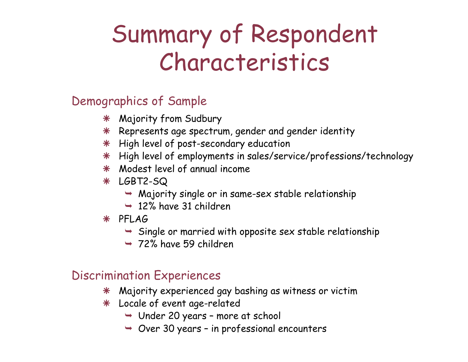## Summary of Respondent Characteristics

#### Demographics of Sample

- ÄMajority from Sudbury
- $*$  Represents age spectrum, gender and gender identity
- $*$  High level of post-secondary education
- Ä High level of employments in sales/service/professions/technology
- \* Modest level of annual income
- Ä LGBT2-SQ
	- $\rightarrow$  Majority single or in same-sex stable relationship
	- $\rightarrow$  12% have 31 children
- Ä PFLAG
	- $\rightarrow$  Single or married with opposite sex stable relationship
	- $\rightarrow$  72% have 59 children

#### Discrimination Experiences

- ÄMajority experienced gay bashing as witness or victim
- Ä Locale of event age-related
	- ¬ Under 20 years more at school
	- $\rightarrow$  Over 30 years in professional encounters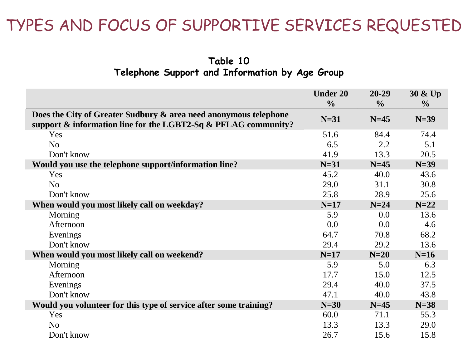**Table 10 Telephone Support and Information by Age Group**

|                                                                                                                                    | <b>Under 20</b><br>$\frac{0}{0}$ | $20 - 29$<br>$\frac{6}{10}$ | $30 & \text{Up}$<br>$\frac{6}{9}$ |
|------------------------------------------------------------------------------------------------------------------------------------|----------------------------------|-----------------------------|-----------------------------------|
| Does the City of Greater Sudbury & area need anonymous telephone<br>support & information line for the LGBT2-Sq & PFLAG community? | $N=31$                           | $N=45$                      | $N=39$                            |
| Yes                                                                                                                                | 51.6                             | 84.4                        | 74.4                              |
| N <sub>o</sub>                                                                                                                     | 6.5                              | 2.2                         | 5.1                               |
| Don't know                                                                                                                         | 41.9                             | 13.3                        | 20.5                              |
| Would you use the telephone support/information line?                                                                              | $N=31$                           | $N=45$                      | $N=39$                            |
| <b>Yes</b>                                                                                                                         | 45.2                             | 40.0                        | 43.6                              |
| N <sub>o</sub>                                                                                                                     | 29.0                             | 31.1                        | 30.8                              |
| Don't know                                                                                                                         | 25.8                             | 28.9                        | 25.6                              |
| When would you most likely call on weekday?                                                                                        | $N=17$                           | $N=24$                      | $N=22$                            |
| Morning                                                                                                                            | 5.9                              | 0.0                         | 13.6                              |
| Afternoon                                                                                                                          | 0.0                              | 0.0                         | 4.6                               |
| Evenings                                                                                                                           | 64.7                             | 70.8                        | 68.2                              |
| Don't know                                                                                                                         | 29.4                             | 29.2                        | 13.6                              |
| When would you most likely call on weekend?                                                                                        | $N=17$                           | $N=20$                      | $N=16$                            |
| Morning                                                                                                                            | 5.9                              | 5.0                         | 6.3                               |
| Afternoon                                                                                                                          | 17.7                             | 15.0                        | 12.5                              |
| Evenings                                                                                                                           | 29.4                             | 40.0                        | 37.5                              |
| Don't know                                                                                                                         | 47.1                             | 40.0                        | 43.8                              |
| Would you volunteer for this type of service after some training?                                                                  | $N=30$                           | $N=45$                      | $N=38$                            |
| Yes                                                                                                                                | 60.0                             | 71.1                        | 55.3                              |
| N <sub>o</sub>                                                                                                                     | 13.3                             | 13.3                        | 29.0                              |
| Don't know                                                                                                                         | 26.7                             | 15.6                        | 15.8                              |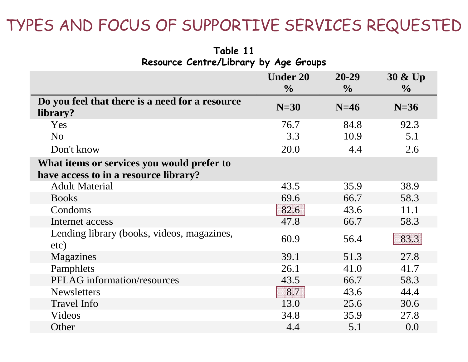**Table 11 Resource Centre/Library by Age Groups**

|                                                             | <b>Under 20</b><br>$\frac{0}{0}$ | $20 - 29$<br>$\frac{1}{2}$ | 30 & Up<br>$\frac{1}{2}$ |
|-------------------------------------------------------------|----------------------------------|----------------------------|--------------------------|
| Do you feel that there is a need for a resource<br>library? | $N=30$                           | $N=46$                     | $N=36$                   |
| Yes                                                         | 76.7                             | 84.8                       | 92.3                     |
| N <sub>o</sub>                                              | 3.3                              | 10.9                       | 5.1                      |
| Don't know                                                  | 20.0                             | 4.4                        | 2.6                      |
| What items or services you would prefer to                  |                                  |                            |                          |
| have access to in a resource library?                       |                                  |                            |                          |
| <b>Adult Material</b>                                       | 43.5                             | 35.9                       | 38.9                     |
| <b>Books</b>                                                | 69.6                             | 66.7                       | 58.3                     |
| Condoms                                                     | 82.6                             | 43.6                       | 11.1                     |
| Internet access                                             | 47.8                             | 66.7                       | 58.3                     |
| Lending library (books, videos, magazines,<br>etc)          | 60.9                             | 56.4                       | 83.3                     |
| Magazines                                                   | 39.1                             | 51.3                       | 27.8                     |
| Pamphlets                                                   | 26.1                             | 41.0                       | 41.7                     |
| <b>PFLAG</b> information/resources                          | 43.5                             | 66.7                       | 58.3                     |
| <b>Newsletters</b>                                          | 8.7                              | 43.6                       | 44.4                     |
| <b>Travel Info</b>                                          | 13.0                             | 25.6                       | 30.6                     |
| Videos                                                      | 34.8                             | 35.9                       | 27.8                     |
| Other                                                       | 4.4                              | 5.1                        | 0.0                      |
|                                                             |                                  |                            |                          |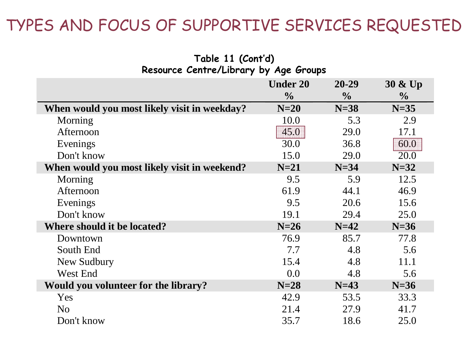**Table 11 (Cont'd)**

| Resource Centre/Library by Age Groups        |                 |               |                |  |  |  |  |
|----------------------------------------------|-----------------|---------------|----------------|--|--|--|--|
|                                              | <b>Under 20</b> | 20-29         | 30 & Up        |  |  |  |  |
|                                              | $\frac{1}{2}$   | $\frac{0}{0}$ | $\frac{6}{10}$ |  |  |  |  |
| When would you most likely visit in weekday? | $N=20$          | $N=38$        | $N=35$         |  |  |  |  |
| Morning                                      | 10.0            | 5.3           | 2.9            |  |  |  |  |
| Afternoon                                    | 45.0            | 29.0          | 17.1           |  |  |  |  |
| Evenings                                     | 30.0            | 36.8          | 60.0           |  |  |  |  |
| Don't know                                   | 15.0            | 29.0          | 20.0           |  |  |  |  |
| When would you most likely visit in weekend? | $N=21$          | $N=34$        | $N=32$         |  |  |  |  |
| Morning                                      | 9.5             | 5.9           | 12.5           |  |  |  |  |
| Afternoon                                    | 61.9            | 44.1          | 46.9           |  |  |  |  |
| Evenings                                     | 9.5             | 20.6          | 15.6           |  |  |  |  |
| Don't know                                   | 19.1            | 29.4          | 25.0           |  |  |  |  |
| Where should it be located?                  | $N=26$          | $N=42$        | $N=36$         |  |  |  |  |
| Downtown                                     | 76.9            | 85.7          | 77.8           |  |  |  |  |
| South End                                    | 7.7             | 4.8           | 5.6            |  |  |  |  |
| New Sudbury                                  | 15.4            | 4.8           | 11.1           |  |  |  |  |
| West End                                     | 0.0             | 4.8           | 5.6            |  |  |  |  |
| Would you volunteer for the library?         | $N=28$          | $N=43$        | $N=36$         |  |  |  |  |
| Yes                                          | 42.9            | 53.5          | 33.3           |  |  |  |  |
| N <sub>o</sub>                               | 21.4            | 27.9          | 41.7           |  |  |  |  |
| Don't know                                   | 35.7            | 18.6          | 25.0           |  |  |  |  |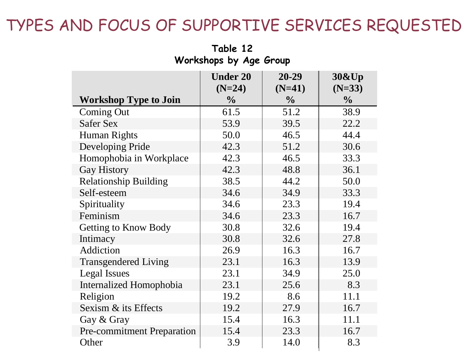**Under 20 (N=24) 20-29 (N=41) 30&Up (N=33) Workshop Type to Join**  $\frac{1}{2}$  **1 %**  $\frac{1}{2}$  **%**  $\frac{1}{2}$  **%**  $\frac{1}{2}$ Coming Out 1 61.5 51.2 38.9 Safer Sex 1 53.9 39.5 22.2 Human Rights 1 50.0 46.5 44.4 Developing Pride 12.3 51.2 30.6 Homophobia in Workplace  $\vert$  42.3  $\vert$  46.5  $\vert$  33.3 Gay History 1 42.3 48.8 36.1 Relationship Building 1 38.5 44.2 50.0 Self-esteem 34.6 34.9 33.3 Spirituality 19.4 23.3 19.4 Feminism 16.7 Getting to Know Body 19.8 30.8 32.6 19.4 Intimacy 1 30.8 32.6 27.8 Addiction 16.9 16.3 16.7 Transgendered Living 23.1 16.3 13.9 Legal Issues 23.1 34.9 25.0 Internalized Homophobia  $\vert$  23.1  $\vert$  25.6  $\vert$  8.3 Religion 19.2 8.6 11.1 Sexism & its Effects 19.2 27.9 16.7 Gay & Gray 15.4 16.3 11.1 Pre-commitment Preparation | 15.4 | 23.3 | 16.7 Other 1 3.9 14.0 8.3

#### **Table 12Workshops by Age Group**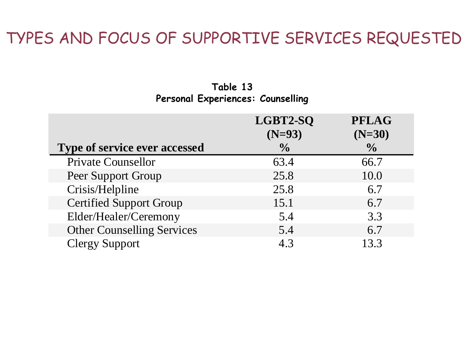#### **Table 13Personal Experiences: Counselling**

|                                      | LGBT2-SQ<br>$(N=93)$ | <b>PFLAG</b><br>$(N=30)$ |
|--------------------------------------|----------------------|--------------------------|
| <b>Type of service ever accessed</b> | $\frac{0}{0}$        | $\frac{0}{0}$            |
| <b>Private Counsellor</b>            | 63.4                 | 66.7                     |
| Peer Support Group                   | 25.8                 | 10.0                     |
| Crisis/Helpline                      | 25.8                 | 6.7                      |
| <b>Certified Support Group</b>       | 15.1                 | 6.7                      |
| Elder/Healer/Ceremony                | 5.4                  | 3.3                      |
| <b>Other Counselling Services</b>    | 5.4                  | 6.7                      |
| <b>Clergy Support</b>                | 4.3                  | 13.3                     |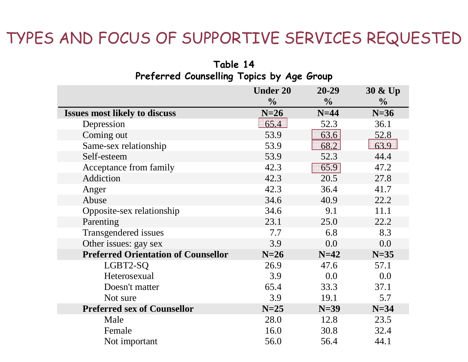| Preferred Counselling Topics by Age Group  |                 |               |               |  |  |  |  |  |
|--------------------------------------------|-----------------|---------------|---------------|--|--|--|--|--|
|                                            | <b>Under 20</b> | $20 - 29$     | 30 & Up       |  |  |  |  |  |
|                                            | $\frac{0}{0}$   | $\frac{0}{0}$ | $\frac{0}{0}$ |  |  |  |  |  |
| <b>Issues most likely to discuss</b>       | $N=26$          | $N=44$        | $N=36$        |  |  |  |  |  |
| Depression                                 | 65.4            | 52.3          | 36.1          |  |  |  |  |  |
| Coming out                                 | 53.9            | 63.6          | 52.8          |  |  |  |  |  |
| Same-sex relationship                      | 53.9            | 68.2          | 63.9          |  |  |  |  |  |
| Self-esteem                                | 53.9            | 52.3          | 44.4          |  |  |  |  |  |
| Acceptance from family                     | 42.3            | 65.9          | 47.2          |  |  |  |  |  |
| Addiction                                  | 42.3            | 20.5          | 27.8          |  |  |  |  |  |
| Anger                                      | 42.3            | 36.4          | 41.7          |  |  |  |  |  |
| Abuse                                      | 34.6            | 40.9          | 22.2          |  |  |  |  |  |
| Opposite-sex relationship                  | 34.6            | 9.1           | 11.1          |  |  |  |  |  |
| Parenting                                  | 23.1            | 25.0          | 22.2          |  |  |  |  |  |
| Transgendered issues                       | 7.7             | 6.8           | 8.3           |  |  |  |  |  |
| Other issues: gay sex                      | 3.9             | 0.0           | 0.0           |  |  |  |  |  |
| <b>Preferred Orientation of Counsellor</b> | $N=26$          | $N=42$        | $N=35$        |  |  |  |  |  |
| LGBT2-SQ                                   | 26.9            | 47.6          | 57.1          |  |  |  |  |  |
| Heterosexual                               | 3.9             | 0.0           | 0.0           |  |  |  |  |  |
| Doesn't matter                             | 65.4            | 33.3          | 37.1          |  |  |  |  |  |
| Not sure                                   | 3.9             | 19.1          | 5.7           |  |  |  |  |  |
| <b>Preferred sex of Counsellor</b>         | $N=25$          | $N=39$        | $N=34$        |  |  |  |  |  |
| Male                                       | 28.0            | 12.8          | 23.5          |  |  |  |  |  |
| Female                                     | 16.0            | 30.8          | 32.4          |  |  |  |  |  |
| Not important                              | 56.0            | 56.4          | 44.1          |  |  |  |  |  |

#### **Table 14 Preferred Counselling Topics by Age Group**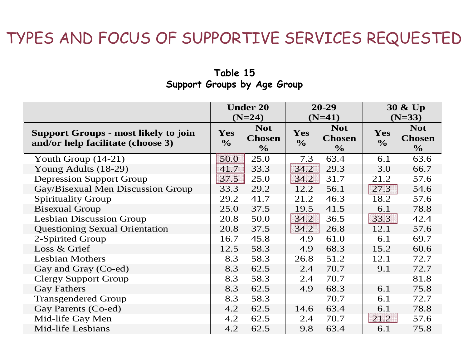#### **Table 15 Support Groups by Age Group**

|                                                                                  | <b>Under 20</b><br>$(N=24)$ |                                              |                             | $20 - 29$<br>$(N=41)$                        |                      | $30 \& Up$<br>$(N=33)$                       |
|----------------------------------------------------------------------------------|-----------------------------|----------------------------------------------|-----------------------------|----------------------------------------------|----------------------|----------------------------------------------|
| <b>Support Groups - most likely to join</b><br>and/or help facilitate (choose 3) | Yes<br>$\frac{1}{2}$        | <b>Not</b><br><b>Chosen</b><br>$\frac{0}{0}$ | <b>Yes</b><br>$\frac{1}{2}$ | <b>Not</b><br><b>Chosen</b><br>$\frac{0}{0}$ | Yes<br>$\frac{6}{6}$ | <b>Not</b><br><b>Chosen</b><br>$\frac{6}{6}$ |
| Youth Group $(14-21)$                                                            | 50.0                        | 25.0                                         | 7.3                         | 63.4                                         | 6.1                  | 63.6                                         |
| Young Adults (18-29)                                                             | 41.7                        | 33.3                                         | 34.2                        | 29.3                                         | 3.0                  | 66.7                                         |
| <b>Depression Support Group</b>                                                  | 37.5                        | 25.0                                         | 34.2                        | 31.7                                         | 21.2                 | 57.6                                         |
| Gay/Bisexual Men Discussion Group                                                | 33.3                        | 29.2                                         | 12.2                        | 56.1                                         | 27.3                 | 54.6                                         |
| <b>Spirituality Group</b>                                                        | 29.2                        | 41.7                                         | 21.2                        | 46.3                                         | 18.2                 | 57.6                                         |
| <b>Bisexual Group</b>                                                            | 25.0                        | 37.5                                         | 19.5                        | 41.5                                         | 6.1                  | 78.8                                         |
| <b>Lesbian Discussion Group</b>                                                  | 20.8                        | 50.0                                         | 34.2                        | 36.5                                         | 33.3                 | 42.4                                         |
| <b>Questioning Sexual Orientation</b>                                            | 20.8                        | 37.5                                         | 34.2                        | 26.8                                         | 12.1                 | 57.6                                         |
| 2-Spirited Group                                                                 | 16.7                        | 45.8                                         | 4.9                         | 61.0                                         | 6.1                  | 69.7                                         |
| Loss & Grief                                                                     | 12.5                        | 58.3                                         | 4.9                         | 68.3                                         | 15.2                 | 60.6                                         |
| <b>Lesbian Mothers</b>                                                           | 8.3                         | 58.3                                         | 26.8                        | 51.2                                         | 12.1                 | 72.7                                         |
| Gay and Gray (Co-ed)                                                             | 8.3                         | 62.5                                         | 2.4                         | 70.7                                         | 9.1                  | 72.7                                         |
| <b>Clergy Support Group</b>                                                      | 8.3                         | 58.3                                         | 2.4                         | 70.7                                         |                      | 81.8                                         |
| <b>Gay Fathers</b>                                                               | 8.3                         | 62.5                                         | 4.9                         | 68.3                                         | 6.1                  | 75.8                                         |
| <b>Transgendered Group</b>                                                       | 8.3                         | 58.3                                         |                             | 70.7                                         | 6.1                  | 72.7                                         |
| Gay Parents (Co-ed)                                                              | 4.2                         | 62.5                                         | 14.6                        | 63.4                                         | 6.1                  | 78.8                                         |
| Mid-life Gay Men                                                                 | 4.2                         | 62.5                                         | 2.4                         | 70.7                                         | 21.2                 | 57.6                                         |
| Mid-life Lesbians                                                                | 4.2                         | 62.5                                         | 9.8                         | 63.4                                         | 6.1                  | 75.8                                         |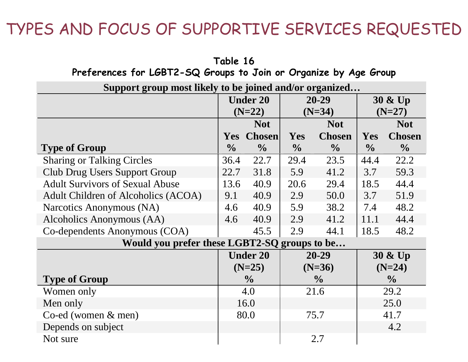**Table 16**

| Preferences for LGBT2-SQ Groups to Join or Organize by Age Group |               |                 |               |               |               |               |  |  |  |
|------------------------------------------------------------------|---------------|-----------------|---------------|---------------|---------------|---------------|--|--|--|
| Support group most likely to be joined and/or organized          |               |                 |               |               |               |               |  |  |  |
|                                                                  |               | <b>Under 20</b> | 20-29         |               | 30 & Up       |               |  |  |  |
|                                                                  |               | $(N=22)$        | $(N=34)$      |               |               | $(N=27)$      |  |  |  |
|                                                                  |               | <b>Not</b>      | <b>Not</b>    |               |               | <b>Not</b>    |  |  |  |
|                                                                  | <b>Yes</b>    | <b>Chosen</b>   | <b>Yes</b>    | <b>Chosen</b> | Yes           | <b>Chosen</b> |  |  |  |
| <b>Type of Group</b>                                             | $\frac{0}{0}$ | $\frac{0}{0}$   | $\frac{0}{0}$ | $\frac{0}{0}$ | $\frac{0}{0}$ | $\frac{0}{0}$ |  |  |  |
| <b>Sharing or Talking Circles</b>                                | 36.4          | 22.7            | 29.4          | 23.5          | 44.4          | 22.2          |  |  |  |
| <b>Club Drug Users Support Group</b>                             | 22.7          | 31.8            | 5.9           | 41.2          | 3.7           | 59.3          |  |  |  |
| <b>Adult Survivors of Sexual Abuse</b>                           | 13.6          | 40.9            | 20.6          | 29.4          | 18.5          | 44.4          |  |  |  |
| Adult Children of Alcoholics (ACOA)                              | 9.1           | 40.9            | 2.9           | 50.0          | 3.7           | 51.9          |  |  |  |
| Narcotics Anonymous (NA)                                         | 4.6           | 40.9            | 5.9           | 38.2          | 7.4           | 48.2          |  |  |  |
| Alcoholics Anonymous (AA)                                        | 4.6           | 40.9            | 2.9           | 41.2          | 11.1          | 44.4          |  |  |  |
| Co-dependents Anonymous (COA)                                    |               | 45.5            | 2.9           | 44.1          | 18.5          | 48.2          |  |  |  |
| Would you prefer these LGBT2-SQ groups to be                     |               |                 |               |               |               |               |  |  |  |
|                                                                  |               | <b>Under 20</b> |               | 20-29         |               | 30 & Up       |  |  |  |
|                                                                  |               | $(N=25)$        |               | $(N=36)$      |               | $(N=24)$      |  |  |  |
| <b>Type of Group</b>                                             |               | $\frac{0}{0}$   |               | $\frac{0}{0}$ |               | $\frac{0}{0}$ |  |  |  |
| Women only                                                       | 4.0           |                 |               | 21.6          |               | 29.2          |  |  |  |
| Men only                                                         | 16.0          |                 |               |               |               | 25.0          |  |  |  |
| Co-ed (women $&$ men)                                            |               | 80.0            |               | 75.7          |               | 41.7          |  |  |  |
| Depends on subject                                               |               |                 |               |               |               | 4.2           |  |  |  |
| Not sure                                                         |               |                 |               | 2.7           |               |               |  |  |  |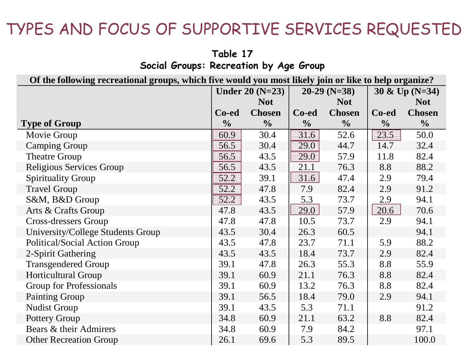|                                        | Table 17 |  |  |
|----------------------------------------|----------|--|--|
| Social Groups: Recreation by Age Group |          |  |  |

| Of the following recreational groups, which five would you most likely join or like to help organize? |                  |                |                |               |                  |                |
|-------------------------------------------------------------------------------------------------------|------------------|----------------|----------------|---------------|------------------|----------------|
|                                                                                                       | Under $20(N=23)$ |                | $20-29$ (N=38) |               | 30 & Up $(N=34)$ |                |
|                                                                                                       |                  | <b>Not</b>     |                | <b>Not</b>    |                  | <b>Not</b>     |
|                                                                                                       | Co-ed            | <b>Chosen</b>  | Co-ed          | <b>Chosen</b> | Co-ed            | <b>Chosen</b>  |
| <b>Type of Group</b>                                                                                  | $\frac{0}{0}$    | $\frac{6}{10}$ | $\frac{0}{0}$  | $\frac{0}{0}$ | $\frac{1}{2}$    | $\frac{6}{10}$ |
| Movie Group                                                                                           | 60.9             | 30.4           | 31.6           | 52.6          | 23.5             | 50.0           |
| <b>Camping Group</b>                                                                                  | 56.5             | 30.4           | 29.0           | 44.7          | 14.7             | 32.4           |
| <b>Theatre Group</b>                                                                                  | 56.5             | 43.5           | 29.0           | 57.9          | 11.8             | 82.4           |
| Religious Services Group                                                                              | 56.5             | 43.5           | 21.1           | 76.3          | 8.8              | 88.2           |
| <b>Spirituality Group</b>                                                                             | 52.2             | 39.1           | 31.6           | 47.4          | 2.9              | 79.4           |
| <b>Travel Group</b>                                                                                   | 52.2             | 47.8           | 7.9            | 82.4          | 2.9              | 91.2           |
| S&M, B&D Group                                                                                        | 52.2             | 43.5           | 5.3            | 73.7          | 2.9              | 94.1           |
| Arts & Crafts Group                                                                                   | 47.8             | 43.5           | 29.0           | 57.9          | 20.6             | 70.6           |
| <b>Cross-dressers Group</b>                                                                           | 47.8             | 47.8           | 10.5           | 73.7          | 2.9              | 94.1           |
| University/College Students Group                                                                     | 43.5             | 30.4           | 26.3           | 60.5          |                  | 94.1           |
| Political/Social Action Group                                                                         | 43.5             | 47.8           | 23.7           | 71.1          | 5.9              | 88.2           |
| 2-Spirit Gathering                                                                                    | 43.5             | 43.5           | 18.4           | 73.7          | 2.9              | 82.4           |
| <b>Transgendered Group</b>                                                                            | 39.1             | 47.8           | 26.3           | 55.3          | 8.8              | 55.9           |
| <b>Horticultural Group</b>                                                                            | 39.1             | 60.9           | 21.1           | 76.3          | 8.8              | 82.4           |
| <b>Group for Professionals</b>                                                                        | 39.1             | 60.9           | 13.2           | 76.3          | 8.8              | 82.4           |
| <b>Painting Group</b>                                                                                 | 39.1             | 56.5           | 18.4           | 79.0          | 2.9              | 94.1           |
| <b>Nudist Group</b>                                                                                   | 39.1             | 43.5           | 5.3            | 71.1          |                  | 91.2           |
| <b>Pottery Group</b>                                                                                  | 34.8             | 60.9           | 21.1           | 63.2          | 8.8              | 82.4           |
| Bears & their Admirers                                                                                | 34.8             | 60.9           | 7.9            | 84.2          |                  | 97.1           |
| <b>Other Recreation Group</b>                                                                         | 26.1             | 69.6           | 5.3            | 89.5          |                  | 100.0          |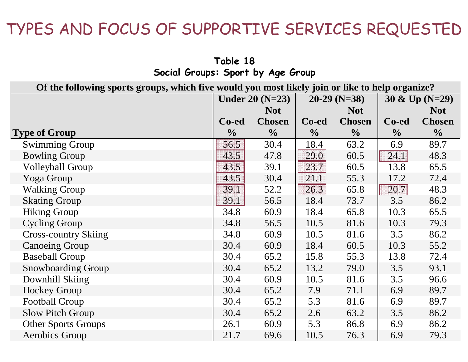| $\frac{1}{2}$                                                                                   |                        |               |                |               |                  |               |
|-------------------------------------------------------------------------------------------------|------------------------|---------------|----------------|---------------|------------------|---------------|
| Of the following sports groups, which five would you most likely join or like to help organize? |                        |               |                |               |                  |               |
|                                                                                                 | <b>Under 20 (N=23)</b> |               | $20-29$ (N=38) |               | 30 & Up $(N=29)$ |               |
|                                                                                                 |                        | <b>Not</b>    |                | <b>Not</b>    |                  | <b>Not</b>    |
|                                                                                                 | Co-ed                  | <b>Chosen</b> | Co-ed          | <b>Chosen</b> | Co-ed            | <b>Chosen</b> |
| <b>Type of Group</b>                                                                            | $\frac{0}{0}$          | $\frac{0}{0}$ | $\frac{0}{0}$  | $\frac{1}{2}$ | $\frac{6}{6}$    | $\frac{1}{2}$ |
| <b>Swimming Group</b>                                                                           | 56.5                   | 30.4          | 18.4           | 63.2          | 6.9              | 89.7          |
| <b>Bowling Group</b>                                                                            | 43.5                   | 47.8          | 29.0           | 60.5          | 24.1             | 48.3          |
| <b>Volleyball Group</b>                                                                         | 43.5                   | 39.1          | 23.7           | 60.5          | 13.8             | 65.5          |
| Yoga Group                                                                                      | 43.5                   | 30.4          | 21.1           | 55.3          | 17.2             | 72.4          |
| <b>Walking Group</b>                                                                            | 39.1                   | 52.2          | 26.3           | 65.8          | 20.7             | 48.3          |
| <b>Skating Group</b>                                                                            | 39.1                   | 56.5          | 18.4           | 73.7          | 3.5              | 86.2          |
| <b>Hiking Group</b>                                                                             | 34.8                   | 60.9          | 18.4           | 65.8          | 10.3             | 65.5          |
| <b>Cycling Group</b>                                                                            | 34.8                   | 56.5          | 10.5           | 81.6          | 10.3             | 79.3          |
| <b>Cross-country Skiing</b>                                                                     | 34.8                   | 60.9          | 10.5           | 81.6          | 3.5              | 86.2          |
| <b>Canoeing Group</b>                                                                           | 30.4                   | 60.9          | 18.4           | 60.5          | 10.3             | 55.2          |
| <b>Baseball Group</b>                                                                           | 30.4                   | 65.2          | 15.8           | 55.3          | 13.8             | 72.4          |
| <b>Snowboarding Group</b>                                                                       | 30.4                   | 65.2          | 13.2           | 79.0          | 3.5              | 93.1          |
| Downhill Skiing                                                                                 | 30.4                   | 60.9          | 10.5           | 81.6          | 3.5              | 96.6          |
| <b>Hockey Group</b>                                                                             | 30.4                   | 65.2          | 7.9            | 71.1          | 6.9              | 89.7          |
| <b>Football Group</b>                                                                           | 30.4                   | 65.2          | 5.3            | 81.6          | 6.9              | 89.7          |
| <b>Slow Pitch Group</b>                                                                         | 30.4                   | 65.2          | 2.6            | 63.2          | 3.5              | 86.2          |
| <b>Other Sports Groups</b>                                                                      | 26.1                   | 60.9          | 5.3            | 86.8          | 6.9              | 86.2          |
| <b>Aerobics Group</b>                                                                           | 21.7                   | 69.6          | 10.5           | 76.3          | 6.9              | 79.3          |

**Table 18Social Groups: Sport by Age Group**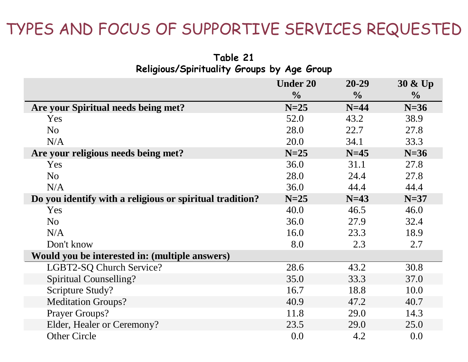**Table 21**

| Religious/Spirituality Groups by Age Group               |                 |               |               |  |  |
|----------------------------------------------------------|-----------------|---------------|---------------|--|--|
|                                                          | <b>Under 20</b> | $20 - 29$     | 30 & Up       |  |  |
|                                                          | $\frac{0}{0}$   | $\frac{1}{2}$ | $\frac{0}{0}$ |  |  |
| Are your Spiritual needs being met?                      | $N=25$          | $N=44$        | $N=36$        |  |  |
| Yes                                                      | 52.0            | 43.2          | 38.9          |  |  |
| N <sub>o</sub>                                           | 28.0            | 22.7          | 27.8          |  |  |
| N/A                                                      | 20.0            | 34.1          | 33.3          |  |  |
| Are your religious needs being met?                      | $N=25$          | $N=45$        | $N=36$        |  |  |
| Yes                                                      | 36.0            | 31.1          | 27.8          |  |  |
| N <sub>o</sub>                                           | 28.0            | 24.4          | 27.8          |  |  |
| N/A                                                      | 36.0            | 44.4          | 44.4          |  |  |
| Do you identify with a religious or spiritual tradition? | $N=25$          | $N=43$        | $N=37$        |  |  |
| Yes                                                      | 40.0            | 46.5          | 46.0          |  |  |
| N <sub>o</sub>                                           | 36.0            | 27.9          | 32.4          |  |  |
| N/A                                                      | 16.0            | 23.3          | 18.9          |  |  |
| Don't know                                               | 8.0             | 2.3           | 2.7           |  |  |
| Would you be interested in: (multiple answers)           |                 |               |               |  |  |
| LGBT2-SQ Church Service?                                 | 28.6            | 43.2          | 30.8          |  |  |
| <b>Spiritual Counselling?</b>                            | 35.0            | 33.3          | 37.0          |  |  |
| Scripture Study?                                         | 16.7            | 18.8          | 10.0          |  |  |
| <b>Meditation Groups?</b>                                | 40.9            | 47.2          | 40.7          |  |  |
| <b>Prayer Groups?</b>                                    | 11.8            | 29.0          | 14.3          |  |  |
| Elder, Healer or Ceremony?                               | 23.5            | 29.0          | 25.0          |  |  |
| <b>Other Circle</b>                                      | 0.0             | 4.2           | 0.0           |  |  |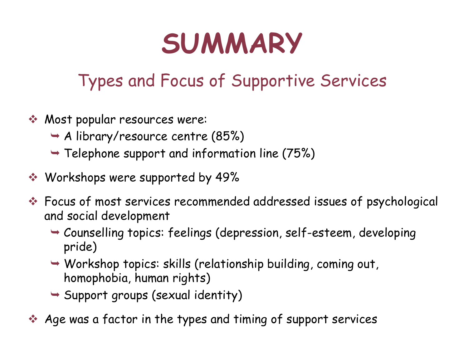## **SUMMARY**

### Types and Focus of Supportive Services

- Most popular resources were:
	- ¬ A library/resource centre (85%)
	- $\rightarrow$  Telephone support and information line (75%)
- Workshops were supported by 49%
- Focus of most services recommended addressed issues of psychological and social development
	- ¬ Counselling topics: feelings (depression, self-esteem, developing pride)
	- ¬ Workshop topics: skills (relationship building, coming out, homophobia, human rights)
	- ¬ Support groups (sexual identity)

Age was a factor in the types and timing of support services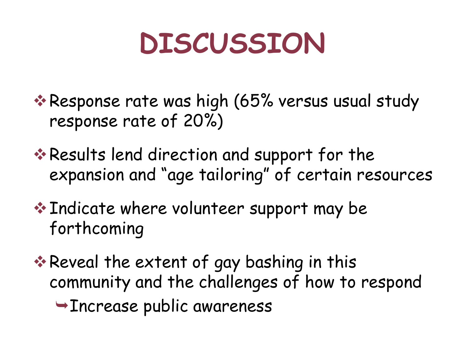## **DISCUSSION**

- \* Response rate was high (65% versus usual study response rate of 20%)
- \* Results lend direction and support for the expansion and "age tailoring" of certain resources
- ◆ Indicate where volunteer support may be forthcoming
- **Extent of gay bashing in this** ≉ Reveal the extent of gay bashing in this community and the challenges of how to respond
	- ¬Increase public awareness